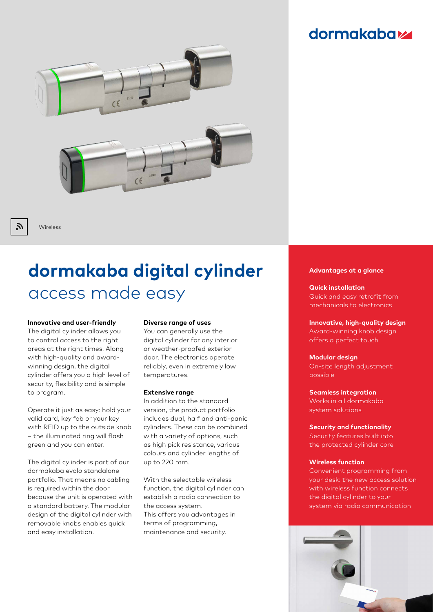## **dormakabazz**



Wireless

 $\tilde{\bm{\mu}}$ 

# **dormakaba digital cylinder** access made easy

#### **Innovative and user-friendly**

The digital cylinder allows you to control access to the right areas at the right times. Along with high-quality and awardwinning design, the digital cylinder offers you a high level of security, flexibility and is simple to program.

Operate it just as easy: hold your valid card, key fob or your key with RFID up to the outside knob – the illuminated ring will flash green and you can enter.

The digital cylinder is part of our dormakaba evolo standalone portfolio. That means no cabling is required within the door because the unit is operated with a standard battery. The modular design of the digital cylinder with removable knobs enables quick and easy installation.

#### **Diverse range of uses**

You can generally use the digital cylinder for any interior or weather-proofed exterior door. The electronics operate reliably, even in extremely low temperatures.

#### **Extensive range**

In addition to the standard version, the product portfolio includes dual, half and anti-panic cylinders. These can be combined with a variety of options, such as high pick resistance, various colours and cylinder lengths of up to 220 mm.

With the selectable wireless function, the digital cylinder can establish a radio connection to the access system. This offers you advantages in terms of programming, maintenance and security.

#### **Advantages at a glance**

**Quick installation**  Quick and easy retrofit from mechanicals to electronics

**Innovative, high-quality design** Award-winning knob design offers a perfect touch

### **Modular design**

On-site length adjustment possible

#### **Seamless integration**

Works in all dormakaba system solutions

#### **Security and functionality**

Security features built into the protected cylinder core

#### **Wireless function**

Convenient programming from your desk: the new access solution with wireless function connects the digital cylinder to your system via radio communication